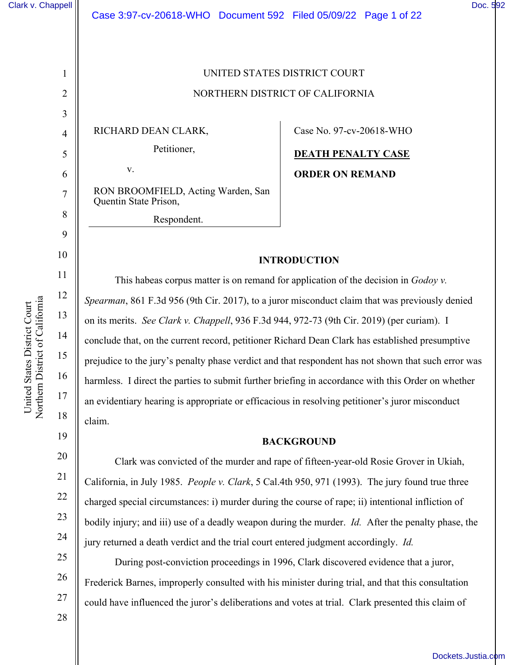1

2

3

4

5

6

7

8

9

10

11

12

13

14

15

16

17

18

19

# UNITED STATES DISTRICT COURT NORTHERN DISTRICT OF CALIFORNIA

RICHARD DEAN CLARK,

v.

Petitioner,

RON BROOMFIELD, Acting Warden, San Quentin State Prison,

Respondent.

Case No. 97-cv-20618-WHO

**DEATH PENALTY CASE ORDER ON REMAND** 

# **INTRODUCTION**

This habeas corpus matter is on remand for application of the decision in *Godoy v. Spearman*, 861 F.3d 956 (9th Cir. 2017), to a juror misconduct claim that was previously denied on its merits. *See Clark v. Chappell*, 936 F.3d 944, 972-73 (9th Cir. 2019) (per curiam). I conclude that, on the current record, petitioner Richard Dean Clark has established presumptive prejudice to the jury's penalty phase verdict and that respondent has not shown that such error was harmless. I direct the parties to submit further briefing in accordance with this Order on whether an evidentiary hearing is appropriate or efficacious in resolving petitioner's juror misconduct claim.

## **BACKGROUND**

Clark was convicted of the murder and rape of fifteen-year-old Rosie Grover in Ukiah, California, in July 1985. *People v. Clark*, 5 Cal.4th 950, 971 (1993). The jury found true three charged special circumstances: i) murder during the course of rape; ii) intentional infliction of bodily injury; and iii) use of a deadly weapon during the murder. *Id.* After the penalty phase, the jury returned a death verdict and the trial court entered judgment accordingly. *Id.*

During post-conviction proceedings in 1996, Clark discovered evidence that a juror, Frederick Barnes, improperly consulted with his minister during trial, and that this consultation could have influenced the juror's deliberations and votes at trial. Clark presented this claim of

26

27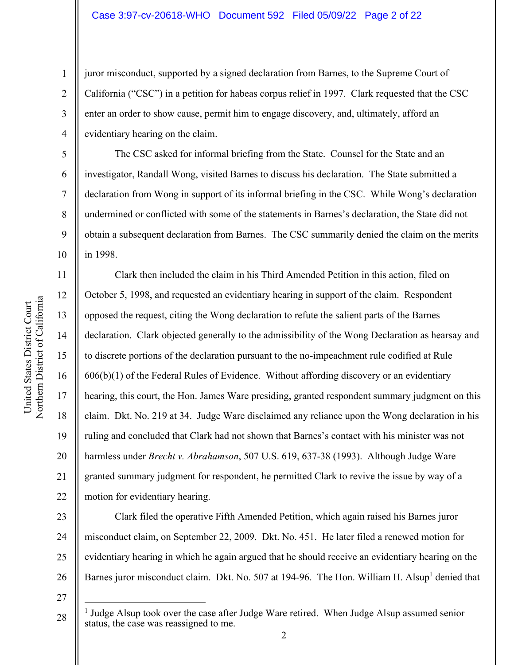juror misconduct, supported by a signed declaration from Barnes, to the Supreme Court of California ("CSC") in a petition for habeas corpus relief in 1997. Clark requested that the CSC enter an order to show cause, permit him to engage discovery, and, ultimately, afford an evidentiary hearing on the claim.

The CSC asked for informal briefing from the State. Counsel for the State and an investigator, Randall Wong, visited Barnes to discuss his declaration. The State submitted a declaration from Wong in support of its informal briefing in the CSC. While Wong's declaration undermined or conflicted with some of the statements in Barnes's declaration, the State did not obtain a subsequent declaration from Barnes. The CSC summarily denied the claim on the merits in 1998.

Clark then included the claim in his Third Amended Petition in this action, filed on October 5, 1998, and requested an evidentiary hearing in support of the claim. Respondent opposed the request, citing the Wong declaration to refute the salient parts of the Barnes declaration. Clark objected generally to the admissibility of the Wong Declaration as hearsay and to discrete portions of the declaration pursuant to the no-impeachment rule codified at Rule  $606(b)(1)$  of the Federal Rules of Evidence. Without affording discovery or an evidentiary hearing, this court, the Hon. James Ware presiding, granted respondent summary judgment on this claim. Dkt. No. 219 at 34. Judge Ware disclaimed any reliance upon the Wong declaration in his ruling and concluded that Clark had not shown that Barnes's contact with his minister was not harmless under *Brecht v. Abrahamson*, 507 U.S. 619, 637-38 (1993). Although Judge Ware granted summary judgment for respondent, he permitted Clark to revive the issue by way of a motion for evidentiary hearing.

23 24 25 26 Clark filed the operative Fifth Amended Petition, which again raised his Barnes juror misconduct claim, on September 22, 2009. Dkt. No. 451. He later filed a renewed motion for evidentiary hearing in which he again argued that he should receive an evidentiary hearing on the Barnes juror misconduct claim. Dkt. No. 507 at 194-96. The Hon. William H. Alsup<sup>1</sup> denied that

27

28

1

2

3

4

5

6

7

8

9

10

11

12

13

14

15

16

17

18

19

20

21

<sup>&</sup>lt;sup>1</sup> Judge Alsup took over the case after Judge Ware retired. When Judge Alsup assumed senior status, the case was reassigned to me.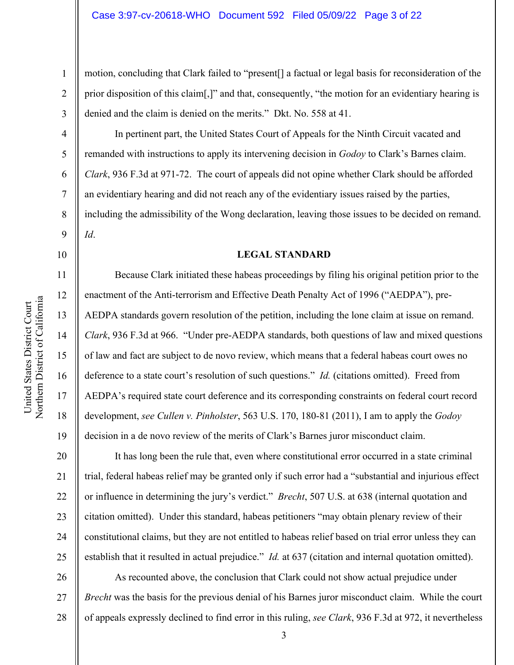motion, concluding that Clark failed to "present[] a factual or legal basis for reconsideration of the prior disposition of this claim[,]" and that, consequently, "the motion for an evidentiary hearing is denied and the claim is denied on the merits." Dkt. No. 558 at 41.

In pertinent part, the United States Court of Appeals for the Ninth Circuit vacated and remanded with instructions to apply its intervening decision in *Godoy* to Clark's Barnes claim. *Clark*, 936 F.3d at 971-72. The court of appeals did not opine whether Clark should be afforded an evidentiary hearing and did not reach any of the evidentiary issues raised by the parties, including the admissibility of the Wong declaration, leaving those issues to be decided on remand. *Id*.

10

11

12

13

14

15

16

17

18

19

20

21

22

23

24

25

1

2

3

4

5

6

7

8

9

#### **LEGAL STANDARD**

Because Clark initiated these habeas proceedings by filing his original petition prior to the enactment of the Anti-terrorism and Effective Death Penalty Act of 1996 ("AEDPA"), pre-AEDPA standards govern resolution of the petition, including the lone claim at issue on remand. *Clark*, 936 F.3d at 966. "Under pre-AEDPA standards, both questions of law and mixed questions of law and fact are subject to de novo review, which means that a federal habeas court owes no deference to a state court's resolution of such questions." *Id.* (citations omitted). Freed from AEDPA's required state court deference and its corresponding constraints on federal court record development, *see Cullen v. Pinholster*, 563 U.S. 170, 180-81 (2011), I am to apply the *Godoy* decision in a de novo review of the merits of Clark's Barnes juror misconduct claim.

 It has long been the rule that, even where constitutional error occurred in a state criminal trial, federal habeas relief may be granted only if such error had a "substantial and injurious effect or influence in determining the jury's verdict." *Brecht*, 507 U.S. at 638 (internal quotation and citation omitted). Under this standard, habeas petitioners "may obtain plenary review of their constitutional claims, but they are not entitled to habeas relief based on trial error unless they can establish that it resulted in actual prejudice." *Id.* at 637 (citation and internal quotation omitted).

26 27 28 As recounted above, the conclusion that Clark could not show actual prejudice under *Brecht* was the basis for the previous denial of his Barnes juror misconduct claim. While the court of appeals expressly declined to find error in this ruling, *see Clark*, 936 F.3d at 972, it nevertheless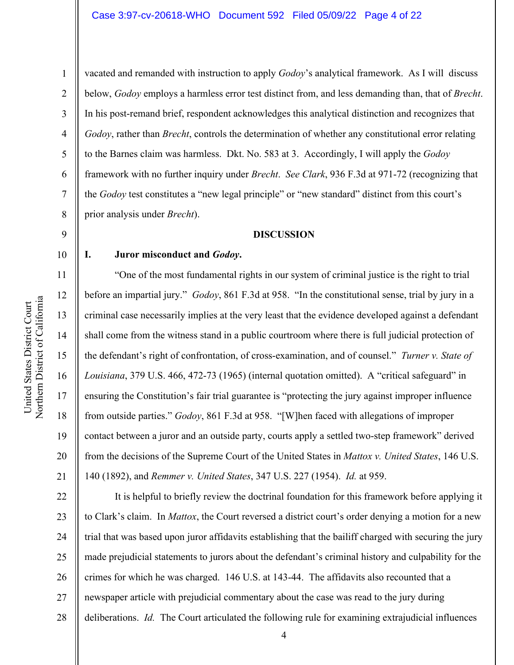Northern District of California United States District Court United States District Court Northern District of Californi 1

9

10

11

12

13

14

15

16

17

18

19

20

21

2 3 4 5 6 7 8 vacated and remanded with instruction to apply *Godoy*'s analytical framework. As I will discuss below, *Godoy* employs a harmless error test distinct from, and less demanding than, that of *Brecht*. In his post-remand brief, respondent acknowledges this analytical distinction and recognizes that *Godoy*, rather than *Brecht*, controls the determination of whether any constitutional error relating to the Barnes claim was harmless. Dkt. No. 583 at 3. Accordingly, I will apply the *Godoy* framework with no further inquiry under *Brecht*. *See Clark*, 936 F.3d at 971-72 (recognizing that the *Godoy* test constitutes a "new legal principle" or "new standard" distinct from this court's prior analysis under *Brecht*).

#### **DISCUSSION**

#### **I. Juror misconduct and** *Godoy***.**

"One of the most fundamental rights in our system of criminal justice is the right to trial before an impartial jury." *Godoy*, 861 F.3d at 958. "In the constitutional sense, trial by jury in a criminal case necessarily implies at the very least that the evidence developed against a defendant shall come from the witness stand in a public courtroom where there is full judicial protection of the defendant's right of confrontation, of cross-examination, and of counsel." *Turner v. State of Louisiana*, 379 U.S. 466, 472-73 (1965) (internal quotation omitted). A "critical safeguard" in ensuring the Constitution's fair trial guarantee is "protecting the jury against improper influence from outside parties." *Godoy*, 861 F.3d at 958. "[W]hen faced with allegations of improper contact between a juror and an outside party, courts apply a settled two-step framework" derived from the decisions of the Supreme Court of the United States in *Mattox v. United States*, 146 U.S. 140 (1892), and *Remmer v. United States*, 347 U.S. 227 (1954). *Id.* at 959.

22 23 24 25 26 27 28 It is helpful to briefly review the doctrinal foundation for this framework before applying it to Clark's claim. In *Mattox*, the Court reversed a district court's order denying a motion for a new trial that was based upon juror affidavits establishing that the bailiff charged with securing the jury made prejudicial statements to jurors about the defendant's criminal history and culpability for the crimes for which he was charged. 146 U.S. at 143-44. The affidavits also recounted that a newspaper article with prejudicial commentary about the case was read to the jury during deliberations. *Id.* The Court articulated the following rule for examining extrajudicial influences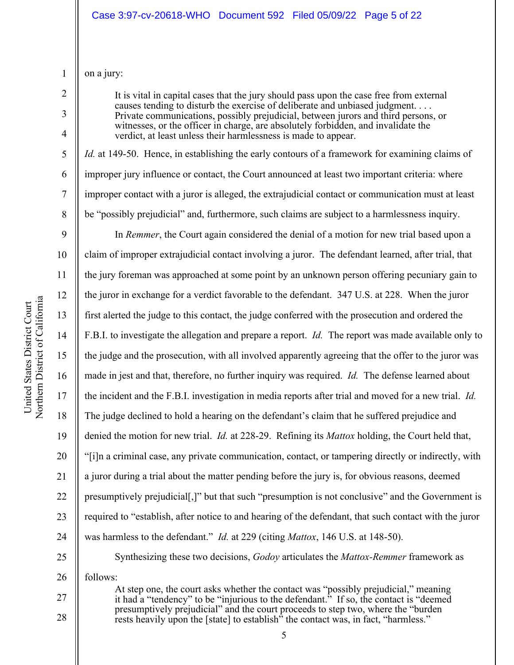1 on a jury:

2

3

4

5

6

7

8

It is vital in capital cases that the jury should pass upon the case free from external causes tending to disturb the exercise of deliberate and unbiased judgment. . . . Private communications, possibly prejudicial, between jurors and third persons, or witnesses, or the officer in charge, are absolutely forbidden, and invalidate the verdict, at least unless their harmlessness is made to appear.

*Id.* at 149-50. Hence, in establishing the early contours of a framework for examining claims of improper jury influence or contact, the Court announced at least two important criteria: where improper contact with a juror is alleged, the extrajudicial contact or communication must at least be "possibly prejudicial" and, furthermore, such claims are subject to a harmlessness inquiry.

9 10 11 12 13 14 15 16 17 18 19 20 21 22 23 24 25 In *Remmer*, the Court again considered the denial of a motion for new trial based upon a claim of improper extrajudicial contact involving a juror. The defendant learned, after trial, that the jury foreman was approached at some point by an unknown person offering pecuniary gain to the juror in exchange for a verdict favorable to the defendant. 347 U.S. at 228. When the juror first alerted the judge to this contact, the judge conferred with the prosecution and ordered the F.B.I. to investigate the allegation and prepare a report. *Id.* The report was made available only to the judge and the prosecution, with all involved apparently agreeing that the offer to the juror was made in jest and that, therefore, no further inquiry was required. *Id.* The defense learned about the incident and the F.B.I. investigation in media reports after trial and moved for a new trial. *Id.* The judge declined to hold a hearing on the defendant's claim that he suffered prejudice and denied the motion for new trial. *Id.* at 228-29. Refining its *Mattox* holding, the Court held that, "[i]n a criminal case, any private communication, contact, or tampering directly or indirectly, with a juror during a trial about the matter pending before the jury is, for obvious reasons, deemed presumptively prejudicial[,]" but that such "presumption is not conclusive" and the Government is required to "establish, after notice to and hearing of the defendant, that such contact with the juror was harmless to the defendant." *Id.* at 229 (citing *Mattox*, 146 U.S. at 148-50). Synthesizing these two decisions, *Godoy* articulates the *Mattox-Remmer* framework as

26 follows:

27 28

At step one, the court asks whether the contact was "possibly prejudicial," meaning it had a "tendency" to be "injurious to the defendant." If so, the contact is "deemed presumptively prejudicial" and the court proceeds to step two, where the "burden rests heavily upon the [state] to establish<sup>3</sup> the contact was, in fact, "harmless."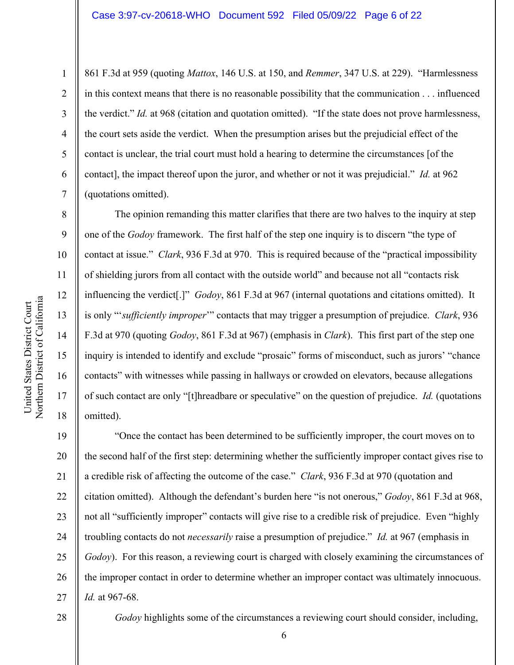861 F.3d at 959 (quoting *Mattox*, 146 U.S. at 150, and *Remmer*, 347 U.S. at 229). "Harmlessness in this context means that there is no reasonable possibility that the communication . . . influenced the verdict." *Id.* at 968 (citation and quotation omitted). "If the state does not prove harmlessness, the court sets aside the verdict. When the presumption arises but the prejudicial effect of the contact is unclear, the trial court must hold a hearing to determine the circumstances [of the contact], the impact thereof upon the juror, and whether or not it was prejudicial." *Id.* at 962 (quotations omitted).

 The opinion remanding this matter clarifies that there are two halves to the inquiry at step one of the *Godoy* framework. The first half of the step one inquiry is to discern "the type of contact at issue." *Clark*, 936 F.3d at 970. This is required because of the "practical impossibility of shielding jurors from all contact with the outside world" and because not all "contacts risk influencing the verdict[.]" *Godoy*, 861 F.3d at 967 (internal quotations and citations omitted). It is only "'*sufficiently improper*'" contacts that may trigger a presumption of prejudice. *Clark*, 936 F.3d at 970 (quoting *Godoy*, 861 F.3d at 967) (emphasis in *Clark*). This first part of the step one inquiry is intended to identify and exclude "prosaic" forms of misconduct, such as jurors' "chance contacts" with witnesses while passing in hallways or crowded on elevators, because allegations of such contact are only "[t]hreadbare or speculative" on the question of prejudice. *Id.* (quotations omitted).

19 20 21 22 23 24 25 26 27 "Once the contact has been determined to be sufficiently improper, the court moves on to the second half of the first step: determining whether the sufficiently improper contact gives rise to a credible risk of affecting the outcome of the case." *Clark*, 936 F.3d at 970 (quotation and citation omitted). Although the defendant's burden here "is not onerous," *Godoy*, 861 F.3d at 968, not all "sufficiently improper" contacts will give rise to a credible risk of prejudice. Even "highly troubling contacts do not *necessarily* raise a presumption of prejudice." *Id.* at 967 (emphasis in *Godoy*). For this reason, a reviewing court is charged with closely examining the circumstances of the improper contact in order to determine whether an improper contact was ultimately innocuous. *Id.* at 967-68.

1

2

3

4

5

6

7

8

9

10

11

12

13

14

15

16

17

18

28

*Godoy* highlights some of the circumstances a reviewing court should consider, including,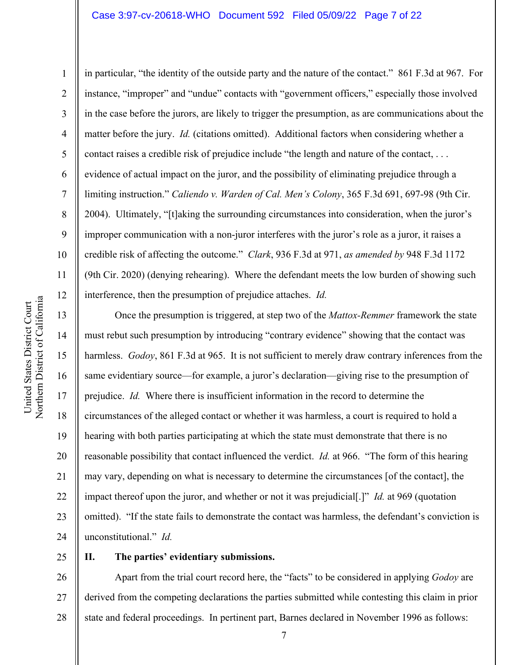Northern District of California United States District Court United States District Court Northern District of Californi 1

2

3

4

5

8

9

11

12

13

14

15

16

17

18

19

20

21

22

23

24

6 7 10 in particular, "the identity of the outside party and the nature of the contact." 861 F.3d at 967. For instance, "improper" and "undue" contacts with "government officers," especially those involved in the case before the jurors, are likely to trigger the presumption, as are communications about the matter before the jury. *Id.* (citations omitted). Additional factors when considering whether a contact raises a credible risk of prejudice include "the length and nature of the contact, . . . evidence of actual impact on the juror, and the possibility of eliminating prejudice through a limiting instruction." *Caliendo v. Warden of Cal. Men's Colony*, 365 F.3d 691, 697-98 (9th Cir. 2004). Ultimately, "[t]aking the surrounding circumstances into consideration, when the juror's improper communication with a non-juror interferes with the juror's role as a juror, it raises a credible risk of affecting the outcome." *Clark*, 936 F.3d at 971, *as amended by* 948 F.3d 1172 (9th Cir. 2020) (denying rehearing). Where the defendant meets the low burden of showing such interference, then the presumption of prejudice attaches. *Id.*

 Once the presumption is triggered, at step two of the *Mattox-Remmer* framework the state must rebut such presumption by introducing "contrary evidence" showing that the contact was harmless. *Godoy*, 861 F.3d at 965. It is not sufficient to merely draw contrary inferences from the same evidentiary source—for example, a juror's declaration—giving rise to the presumption of prejudice. *Id.* Where there is insufficient information in the record to determine the circumstances of the alleged contact or whether it was harmless, a court is required to hold a hearing with both parties participating at which the state must demonstrate that there is no reasonable possibility that contact influenced the verdict. *Id.* at 966. "The form of this hearing may vary, depending on what is necessary to determine the circumstances [of the contact], the impact thereof upon the juror, and whether or not it was prejudicial[.]" *Id.* at 969 (quotation omitted). "If the state fails to demonstrate the contact was harmless, the defendant's conviction is unconstitutional." *Id.*

25

#### **II. The parties' evidentiary submissions.**

26 27 28 Apart from the trial court record here, the "facts" to be considered in applying *Godoy* are derived from the competing declarations the parties submitted while contesting this claim in prior state and federal proceedings. In pertinent part, Barnes declared in November 1996 as follows: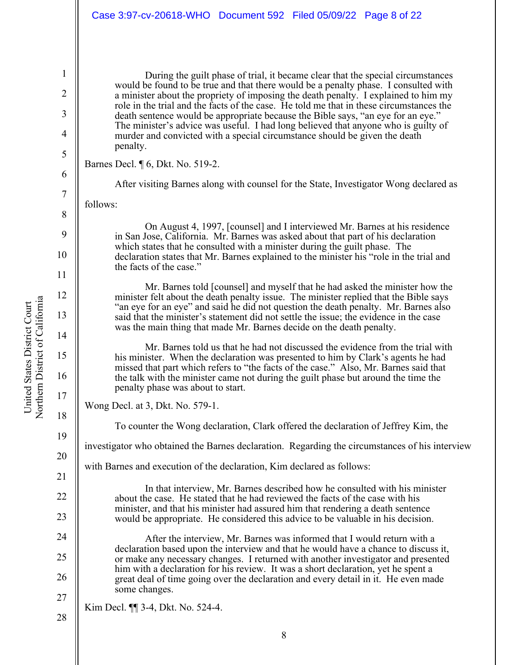During the guilt phase of trial, it became clear that the special circumstances would be found to be true and that there would be a penalty phase. I consulted with a minister about the propriety of imposing the death penalty. I explained to him my role in the trial and the facts of the case. He told me that in these circumstances the death sentence would be appropriate because the Bible says, "an eye for an eye." The minister's advice was useful. I had long believed that anyone who is guilty of murder and convicted with a special circumstance should be given the death penalty.

Barnes Decl. ¶ 6, Dkt. No. 519-2.

After visiting Barnes along with counsel for the State, Investigator Wong declared as

follows:

On August 4, 1997, [counsel] and I interviewed Mr. Barnes at his residence in San Jose, California. Mr. Barnes was asked about that part of his declaration which states that he consulted with a minister during the guilt phase. The declaration states that Mr. Barnes explained to the minister his "role in the trial and the facts of the case."

Mr. Barnes told [counsel] and myself that he had asked the minister how the minister felt about the death penalty issue. The minister replied that the Bible says "an eye for an eye" and said he did not question the death penalty. Mr. Barnes also said that the minister's statement did not settle the issue; the evidence in the case was the main thing that made Mr. Barnes decide on the death penalty.

Mr. Barnes told us that he had not discussed the evidence from the trial with his minister. When the declaration was presented to him by Clark's agents he had missed that part which refers to "the facts of the case." Also, Mr. Barnes said that the talk with the minister came not during the guilt phase but around the time the penalty phase was about to start.

Wong Decl. at 3, Dkt. No. 579-1.

To counter the Wong declaration, Clark offered the declaration of Jeffrey Kim, the

investigator who obtained the Barnes declaration. Regarding the circumstances of his interview

with Barnes and execution of the declaration, Kim declared as follows:

In that interview, Mr. Barnes described how he consulted with his minister about the case. He stated that he had reviewed the facts of the case with his minister, and that his minister had assured him that rendering a death sentence would be appropriate. He considered this advice to be valuable in his decision.

After the interview, Mr. Barnes was informed that I would return with a declaration based upon the interview and that he would have a chance to discuss it, or make any necessary changes. I returned with another investigator and presented him with a declaration for his review. It was a short declaration, yet he spent a great deal of time going over the declaration and every detail in it. He even made some changes.

28 Kim Decl. ¶¶ 3-4, Dkt. No. 524-4.

1

2

3

4

5

6

7

8

9

10

11

12

13

14

15

16

17

18

19

20

21

22

23

24

25

26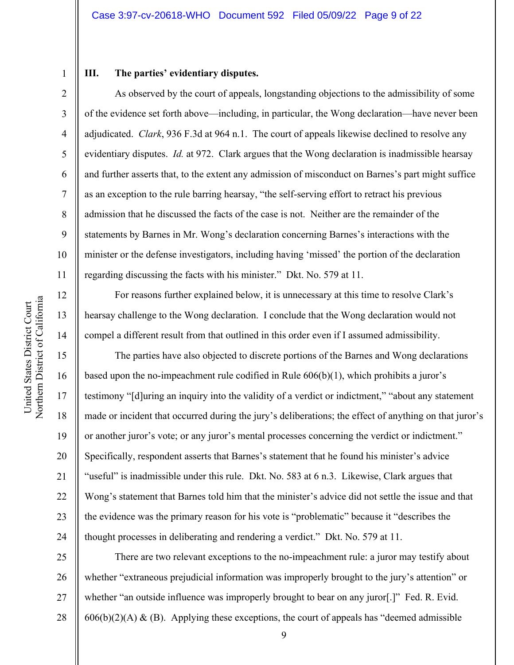#### **III. The parties' evidentiary disputes.**

As observed by the court of appeals, longstanding objections to the admissibility of some of the evidence set forth above—including, in particular, the Wong declaration—have never been adjudicated. *Clark*, 936 F.3d at 964 n.1. The court of appeals likewise declined to resolve any evidentiary disputes. *Id.* at 972. Clark argues that the Wong declaration is inadmissible hearsay and further asserts that, to the extent any admission of misconduct on Barnes's part might suffice as an exception to the rule barring hearsay, "the self-serving effort to retract his previous admission that he discussed the facts of the case is not. Neither are the remainder of the statements by Barnes in Mr. Wong's declaration concerning Barnes's interactions with the minister or the defense investigators, including having 'missed' the portion of the declaration regarding discussing the facts with his minister." Dkt. No. 579 at 11.

Northern District of California United States District Court United States District Court Northern District of Californi 1

2

3

4

5

6

7

8

9

10

11

12

13

14

15

16

17

18

19

20

21

22

23

24

For reasons further explained below, it is unnecessary at this time to resolve Clark's hearsay challenge to the Wong declaration. I conclude that the Wong declaration would not compel a different result from that outlined in this order even if I assumed admissibility.

The parties have also objected to discrete portions of the Barnes and Wong declarations based upon the no-impeachment rule codified in Rule 606(b)(1), which prohibits a juror's testimony "[d]uring an inquiry into the validity of a verdict or indictment," "about any statement made or incident that occurred during the jury's deliberations; the effect of anything on that juror's or another juror's vote; or any juror's mental processes concerning the verdict or indictment." Specifically, respondent asserts that Barnes's statement that he found his minister's advice "useful" is inadmissible under this rule. Dkt. No. 583 at 6 n.3. Likewise, Clark argues that Wong's statement that Barnes told him that the minister's advice did not settle the issue and that the evidence was the primary reason for his vote is "problematic" because it "describes the thought processes in deliberating and rendering a verdict." Dkt. No. 579 at 11.

25 26 27 28 There are two relevant exceptions to the no-impeachment rule: a juror may testify about whether "extraneous prejudicial information was improperly brought to the jury's attention" or whether "an outside influence was improperly brought to bear on any juror[.]" Fed. R. Evid.  $606(b)(2)(A)$  & (B). Applying these exceptions, the court of appeals has "deemed admissible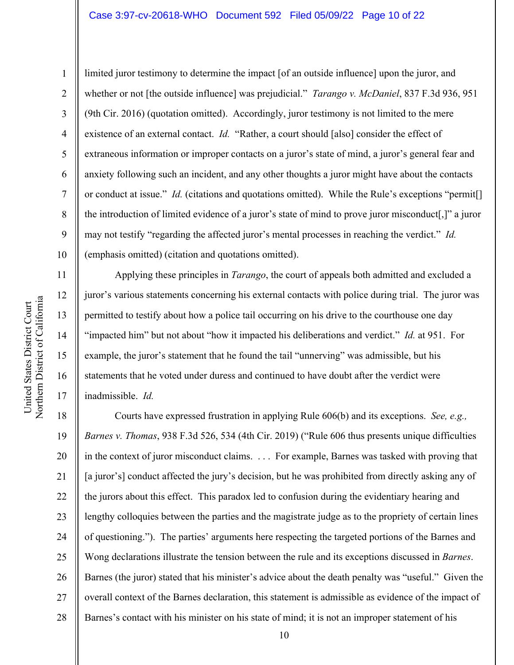13

14

15

16

17

1

limited juror testimony to determine the impact [of an outside influence] upon the juror, and whether or not [the outside influence] was prejudicial." *Tarango v. McDaniel*, 837 F.3d 936, 951 (9th Cir. 2016) (quotation omitted). Accordingly, juror testimony is not limited to the mere existence of an external contact. *Id.* "Rather, a court should [also] consider the effect of extraneous information or improper contacts on a juror's state of mind, a juror's general fear and anxiety following such an incident, and any other thoughts a juror might have about the contacts or conduct at issue." *Id.* (citations and quotations omitted). While the Rule's exceptions "permit[] the introduction of limited evidence of a juror's state of mind to prove juror misconduct[,]" a juror may not testify "regarding the affected juror's mental processes in reaching the verdict." *Id.* (emphasis omitted) (citation and quotations omitted).

Applying these principles in *Tarango*, the court of appeals both admitted and excluded a juror's various statements concerning his external contacts with police during trial. The juror was permitted to testify about how a police tail occurring on his drive to the courthouse one day "impacted him" but not about "how it impacted his deliberations and verdict." *Id.* at 951. For example, the juror's statement that he found the tail "unnerving" was admissible, but his statements that he voted under duress and continued to have doubt after the verdict were inadmissible. *Id.*

18 19 20 21 22 23 24 25 26 27 28 Courts have expressed frustration in applying Rule 606(b) and its exceptions. *See, e.g., Barnes v. Thomas*, 938 F.3d 526, 534 (4th Cir. 2019) ("Rule 606 thus presents unique difficulties in the context of juror misconduct claims. . . . For example, Barnes was tasked with proving that [a juror's] conduct affected the jury's decision, but he was prohibited from directly asking any of the jurors about this effect. This paradox led to confusion during the evidentiary hearing and lengthy colloquies between the parties and the magistrate judge as to the propriety of certain lines of questioning."). The parties' arguments here respecting the targeted portions of the Barnes and Wong declarations illustrate the tension between the rule and its exceptions discussed in *Barnes*. Barnes (the juror) stated that his minister's advice about the death penalty was "useful." Given the overall context of the Barnes declaration, this statement is admissible as evidence of the impact of Barnes's contact with his minister on his state of mind; it is not an improper statement of his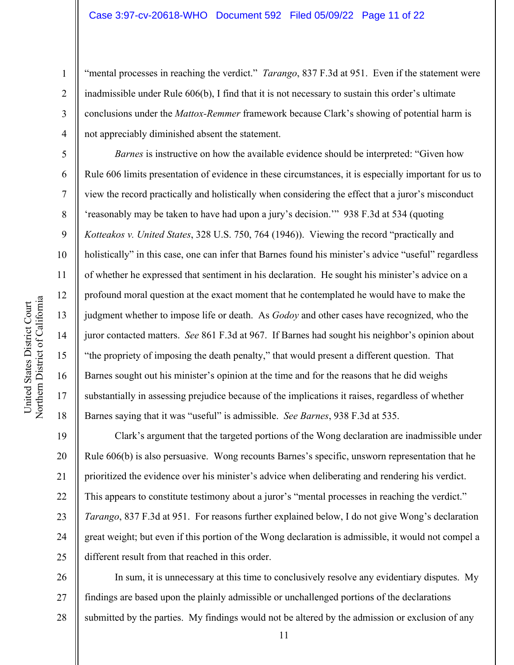"mental processes in reaching the verdict." *Tarango*, 837 F.3d at 951. Even if the statement were inadmissible under Rule 606(b), I find that it is not necessary to sustain this order's ultimate conclusions under the *Mattox-Remmer* framework because Clark's showing of potential harm is not appreciably diminished absent the statement.

*Barnes* is instructive on how the available evidence should be interpreted: "Given how Rule 606 limits presentation of evidence in these circumstances, it is especially important for us to view the record practically and holistically when considering the effect that a juror's misconduct 'reasonably may be taken to have had upon a jury's decision.'" 938 F.3d at 534 (quoting *Kotteakos v. United States*, 328 U.S. 750, 764 (1946)). Viewing the record "practically and holistically" in this case, one can infer that Barnes found his minister's advice "useful" regardless of whether he expressed that sentiment in his declaration. He sought his minister's advice on a profound moral question at the exact moment that he contemplated he would have to make the judgment whether to impose life or death. As *Godoy* and other cases have recognized, who the juror contacted matters. *See* 861 F.3d at 967. If Barnes had sought his neighbor's opinion about "the propriety of imposing the death penalty," that would present a different question. That Barnes sought out his minister's opinion at the time and for the reasons that he did weighs substantially in assessing prejudice because of the implications it raises, regardless of whether Barnes saying that it was "useful" is admissible. *See Barnes*, 938 F.3d at 535.

19 20 21 22 23 24 25 Clark's argument that the targeted portions of the Wong declaration are inadmissible under Rule 606(b) is also persuasive. Wong recounts Barnes's specific, unsworn representation that he prioritized the evidence over his minister's advice when deliberating and rendering his verdict. This appears to constitute testimony about a juror's "mental processes in reaching the verdict." *Tarango*, 837 F.3d at 951. For reasons further explained below, I do not give Wong's declaration great weight; but even if this portion of the Wong declaration is admissible, it would not compel a different result from that reached in this order.

26 27 28 In sum, it is unnecessary at this time to conclusively resolve any evidentiary disputes. My findings are based upon the plainly admissible or unchallenged portions of the declarations submitted by the parties. My findings would not be altered by the admission or exclusion of any

1

2

3

4

5

6

7

8

9

10

11

12

13

14

15

16

17

18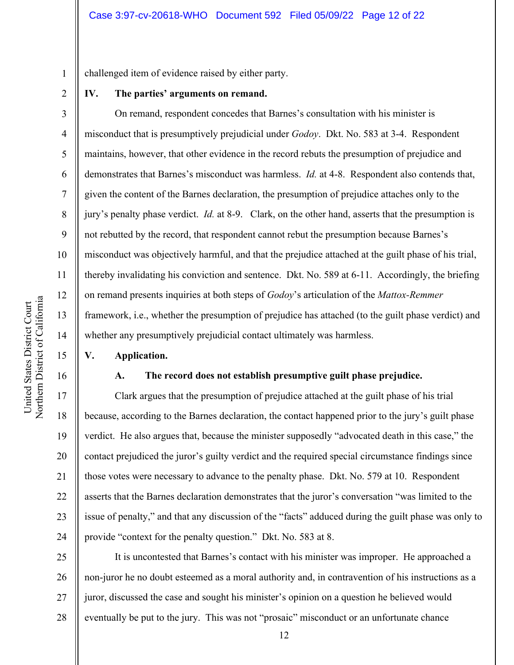challenged item of evidence raised by either party.

#### **IV. The parties' arguments on remand.**

 On remand, respondent concedes that Barnes's consultation with his minister is misconduct that is presumptively prejudicial under *Godoy*. Dkt. No. 583 at 3-4. Respondent maintains, however, that other evidence in the record rebuts the presumption of prejudice and demonstrates that Barnes's misconduct was harmless. *Id.* at 4-8. Respondent also contends that, given the content of the Barnes declaration, the presumption of prejudice attaches only to the jury's penalty phase verdict. *Id.* at 8-9. Clark, on the other hand, asserts that the presumption is not rebutted by the record, that respondent cannot rebut the presumption because Barnes's misconduct was objectively harmful, and that the prejudice attached at the guilt phase of his trial, thereby invalidating his conviction and sentence. Dkt. No. 589 at 6-11. Accordingly, the briefing on remand presents inquiries at both steps of *Godoy*'s articulation of the *Mattox-Remmer* framework, i.e., whether the presumption of prejudice has attached (to the guilt phase verdict) and whether any presumptively prejudicial contact ultimately was harmless.

#### **V. Application.**

### **A. The record does not establish presumptive guilt phase prejudice.**

Clark argues that the presumption of prejudice attached at the guilt phase of his trial because, according to the Barnes declaration, the contact happened prior to the jury's guilt phase verdict. He also argues that, because the minister supposedly "advocated death in this case," the contact prejudiced the juror's guilty verdict and the required special circumstance findings since those votes were necessary to advance to the penalty phase. Dkt. No. 579 at 10. Respondent asserts that the Barnes declaration demonstrates that the juror's conversation "was limited to the issue of penalty," and that any discussion of the "facts" adduced during the guilt phase was only to provide "context for the penalty question." Dkt. No. 583 at 8.

25 26 27 28 It is uncontested that Barnes's contact with his minister was improper. He approached a non-juror he no doubt esteemed as a moral authority and, in contravention of his instructions as a juror, discussed the case and sought his minister's opinion on a question he believed would eventually be put to the jury. This was not "prosaic" misconduct or an unfortunate chance

1

2

3

4

5

6

7

8

9

10

11

12

13

14

15

16

17

18

19

20

21

22

23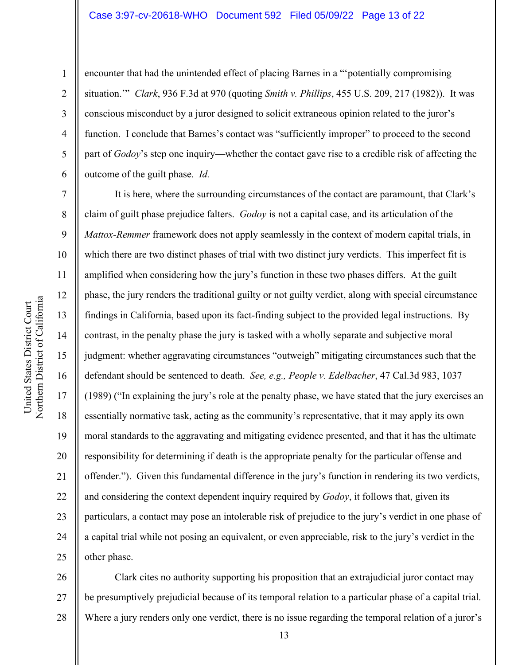encounter that had the unintended effect of placing Barnes in a "'potentially compromising situation.'" *Clark*, 936 F.3d at 970 (quoting *Smith v. Phillips*, 455 U.S. 209, 217 (1982)). It was conscious misconduct by a juror designed to solicit extraneous opinion related to the juror's function. I conclude that Barnes's contact was "sufficiently improper" to proceed to the second part of *Godoy*'s step one inquiry—whether the contact gave rise to a credible risk of affecting the outcome of the guilt phase. *Id.*

It is here, where the surrounding circumstances of the contact are paramount, that Clark's claim of guilt phase prejudice falters. *Godoy* is not a capital case, and its articulation of the *Mattox-Remmer* framework does not apply seamlessly in the context of modern capital trials, in which there are two distinct phases of trial with two distinct jury verdicts. This imperfect fit is amplified when considering how the jury's function in these two phases differs. At the guilt phase, the jury renders the traditional guilty or not guilty verdict, along with special circumstance findings in California, based upon its fact-finding subject to the provided legal instructions. By contrast, in the penalty phase the jury is tasked with a wholly separate and subjective moral judgment: whether aggravating circumstances "outweigh" mitigating circumstances such that the defendant should be sentenced to death. *See, e.g., People v. Edelbacher*, 47 Cal.3d 983, 1037 (1989) ("In explaining the jury's role at the penalty phase, we have stated that the jury exercises an essentially normative task, acting as the community's representative, that it may apply its own moral standards to the aggravating and mitigating evidence presented, and that it has the ultimate responsibility for determining if death is the appropriate penalty for the particular offense and offender."). Given this fundamental difference in the jury's function in rendering its two verdicts, and considering the context dependent inquiry required by *Godoy*, it follows that, given its particulars, a contact may pose an intolerable risk of prejudice to the jury's verdict in one phase of a capital trial while not posing an equivalent, or even appreciable, risk to the jury's verdict in the other phase.

26 27 28 Clark cites no authority supporting his proposition that an extrajudicial juror contact may be presumptively prejudicial because of its temporal relation to a particular phase of a capital trial. Where a jury renders only one verdict, there is no issue regarding the temporal relation of a juror's

1

2

3

4

5

6

7

8

9

10

11

12

13

14

15

16

17

18

19

20

21

22

23

24

25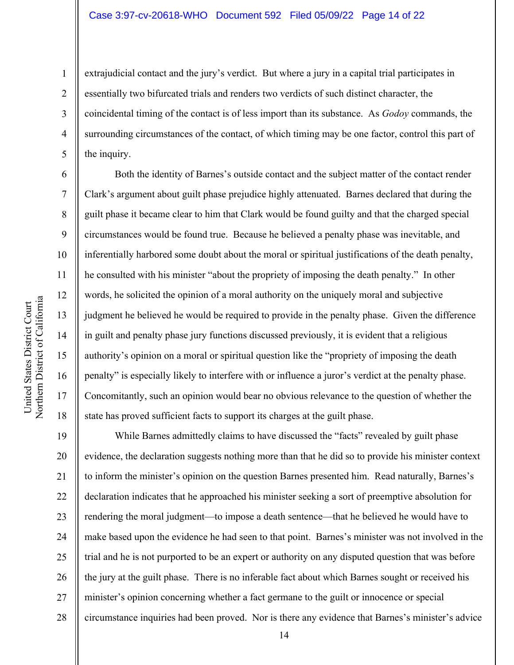extrajudicial contact and the jury's verdict. But where a jury in a capital trial participates in essentially two bifurcated trials and renders two verdicts of such distinct character, the coincidental timing of the contact is of less import than its substance. As *Godoy* commands, the surrounding circumstances of the contact, of which timing may be one factor, control this part of the inquiry.

Both the identity of Barnes's outside contact and the subject matter of the contact render Clark's argument about guilt phase prejudice highly attenuated. Barnes declared that during the guilt phase it became clear to him that Clark would be found guilty and that the charged special circumstances would be found true. Because he believed a penalty phase was inevitable, and inferentially harbored some doubt about the moral or spiritual justifications of the death penalty, he consulted with his minister "about the propriety of imposing the death penalty." In other words, he solicited the opinion of a moral authority on the uniquely moral and subjective judgment he believed he would be required to provide in the penalty phase. Given the difference in guilt and penalty phase jury functions discussed previously, it is evident that a religious authority's opinion on a moral or spiritual question like the "propriety of imposing the death penalty" is especially likely to interfere with or influence a juror's verdict at the penalty phase. Concomitantly, such an opinion would bear no obvious relevance to the question of whether the state has proved sufficient facts to support its charges at the guilt phase.

19 20 21 22 23 24 25 26 27 28 While Barnes admittedly claims to have discussed the "facts" revealed by guilt phase evidence, the declaration suggests nothing more than that he did so to provide his minister context to inform the minister's opinion on the question Barnes presented him. Read naturally, Barnes's declaration indicates that he approached his minister seeking a sort of preemptive absolution for rendering the moral judgment—to impose a death sentence—that he believed he would have to make based upon the evidence he had seen to that point. Barnes's minister was not involved in the trial and he is not purported to be an expert or authority on any disputed question that was before the jury at the guilt phase. There is no inferable fact about which Barnes sought or received his minister's opinion concerning whether a fact germane to the guilt or innocence or special circumstance inquiries had been proved. Nor is there any evidence that Barnes's minister's advice

1

2

3

4

5

6

7

8

9

10

11

12

13

14

15

16

17

18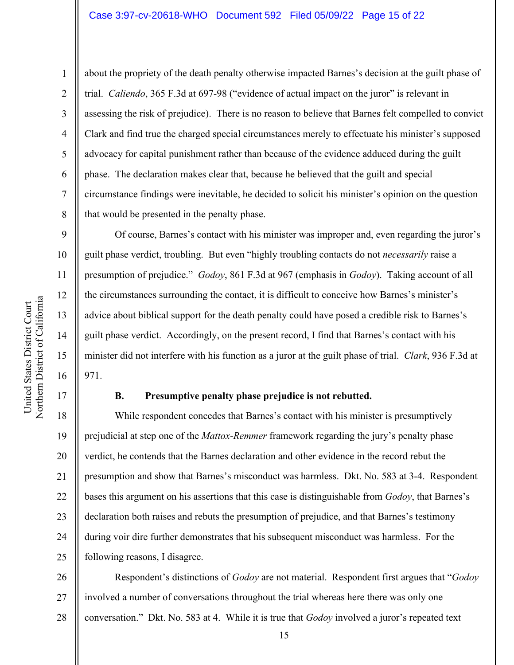about the propriety of the death penalty otherwise impacted Barnes's decision at the guilt phase of trial. *Caliendo*, 365 F.3d at 697-98 ("evidence of actual impact on the juror" is relevant in assessing the risk of prejudice). There is no reason to believe that Barnes felt compelled to convict Clark and find true the charged special circumstances merely to effectuate his minister's supposed advocacy for capital punishment rather than because of the evidence adduced during the guilt phase. The declaration makes clear that, because he believed that the guilt and special circumstance findings were inevitable, he decided to solicit his minister's opinion on the question that would be presented in the penalty phase.

Of course, Barnes's contact with his minister was improper and, even regarding the juror's guilt phase verdict, troubling. But even "highly troubling contacts do not *necessarily* raise a presumption of prejudice." *Godoy*, 861 F.3d at 967 (emphasis in *Godoy*). Taking account of all the circumstances surrounding the contact, it is difficult to conceive how Barnes's minister's advice about biblical support for the death penalty could have posed a credible risk to Barnes's guilt phase verdict. Accordingly, on the present record, I find that Barnes's contact with his minister did not interfere with his function as a juror at the guilt phase of trial. *Clark*, 936 F.3d at 971.

1

2

3

4

5

6

7

8

9

10

11

12

13

14

15

16

17

#### **B. Presumptive penalty phase prejudice is not rebutted.**

18 19 20 21 22 23 24 25 While respondent concedes that Barnes's contact with his minister is presumptively prejudicial at step one of the *Mattox-Remmer* framework regarding the jury's penalty phase verdict, he contends that the Barnes declaration and other evidence in the record rebut the presumption and show that Barnes's misconduct was harmless. Dkt. No. 583 at 3-4. Respondent bases this argument on his assertions that this case is distinguishable from *Godoy*, that Barnes's declaration both raises and rebuts the presumption of prejudice, and that Barnes's testimony during voir dire further demonstrates that his subsequent misconduct was harmless. For the following reasons, I disagree.

26 27 28 Respondent's distinctions of *Godoy* are not material. Respondent first argues that "*Godoy* involved a number of conversations throughout the trial whereas here there was only one conversation." Dkt. No. 583 at 4. While it is true that *Godoy* involved a juror's repeated text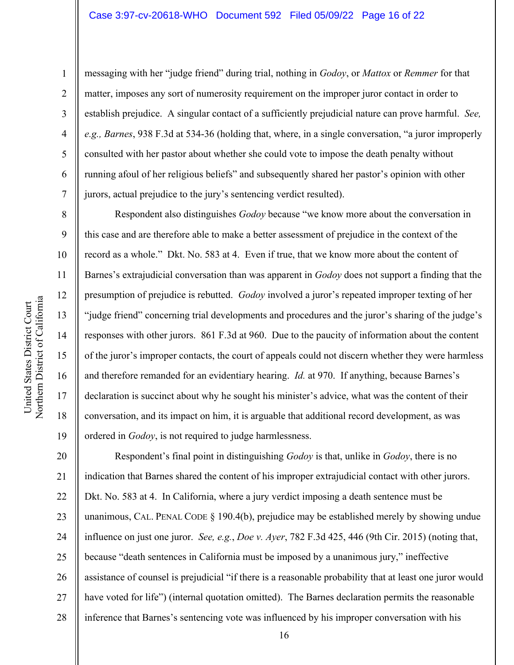1

2

3

4

5

6

7

8

13

14

15

16

17

18

19

messaging with her "judge friend" during trial, nothing in *Godoy*, or *Mattox* or *Remmer* for that matter, imposes any sort of numerosity requirement on the improper juror contact in order to establish prejudice. A singular contact of a sufficiently prejudicial nature can prove harmful. *See, e.g., Barnes*, 938 F.3d at 534-36 (holding that, where, in a single conversation, "a juror improperly consulted with her pastor about whether she could vote to impose the death penalty without running afoul of her religious beliefs" and subsequently shared her pastor's opinion with other jurors, actual prejudice to the jury's sentencing verdict resulted).

Respondent also distinguishes *Godoy* because "we know more about the conversation in this case and are therefore able to make a better assessment of prejudice in the context of the record as a whole." Dkt. No. 583 at 4. Even if true, that we know more about the content of Barnes's extrajudicial conversation than was apparent in *Godoy* does not support a finding that the presumption of prejudice is rebutted. *Godoy* involved a juror's repeated improper texting of her "judge friend" concerning trial developments and procedures and the juror's sharing of the judge's responses with other jurors. 861 F.3d at 960. Due to the paucity of information about the content of the juror's improper contacts, the court of appeals could not discern whether they were harmless and therefore remanded for an evidentiary hearing. *Id.* at 970. If anything, because Barnes's declaration is succinct about why he sought his minister's advice, what was the content of their conversation, and its impact on him, it is arguable that additional record development, as was ordered in *Godoy*, is not required to judge harmlessness.

20 21 22 23 24 25 26 27 28 Respondent's final point in distinguishing *Godoy* is that, unlike in *Godoy*, there is no indication that Barnes shared the content of his improper extrajudicial contact with other jurors. Dkt. No. 583 at 4. In California, where a jury verdict imposing a death sentence must be unanimous, CAL. PENAL CODE § 190.4(b), prejudice may be established merely by showing undue influence on just one juror. *See, e.g.*, *Doe v. Ayer*, 782 F.3d 425, 446 (9th Cir. 2015) (noting that, because "death sentences in California must be imposed by a unanimous jury," ineffective assistance of counsel is prejudicial "if there is a reasonable probability that at least one juror would have voted for life") (internal quotation omitted). The Barnes declaration permits the reasonable inference that Barnes's sentencing vote was influenced by his improper conversation with his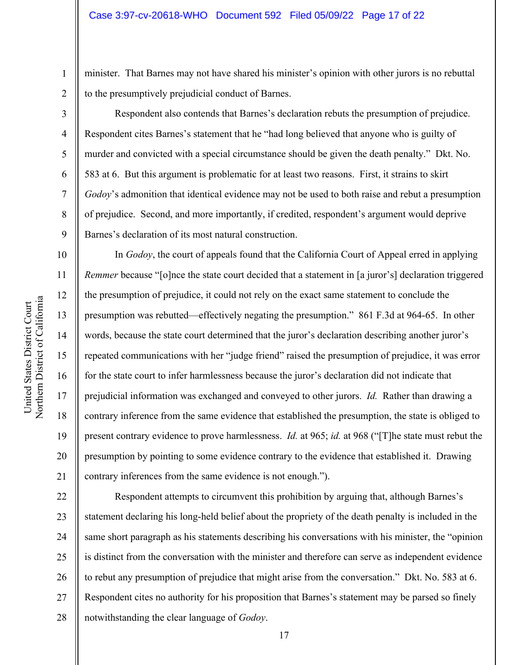minister. That Barnes may not have shared his minister's opinion with other jurors is no rebuttal to the presumptively prejudicial conduct of Barnes.

Respondent also contends that Barnes's declaration rebuts the presumption of prejudice. Respondent cites Barnes's statement that he "had long believed that anyone who is guilty of murder and convicted with a special circumstance should be given the death penalty." Dkt. No. 583 at 6. But this argument is problematic for at least two reasons. First, it strains to skirt *Godoy*'s admonition that identical evidence may not be used to both raise and rebut a presumption of prejudice. Second, and more importantly, if credited, respondent's argument would deprive Barnes's declaration of its most natural construction.

In *Godoy*, the court of appeals found that the California Court of Appeal erred in applying *Remmer* because "[o]nce the state court decided that a statement in [a juror's] declaration triggered the presumption of prejudice, it could not rely on the exact same statement to conclude the presumption was rebutted—effectively negating the presumption." 861 F.3d at 964-65. In other words, because the state court determined that the juror's declaration describing another juror's repeated communications with her "judge friend" raised the presumption of prejudice, it was error for the state court to infer harmlessness because the juror's declaration did not indicate that prejudicial information was exchanged and conveyed to other jurors. *Id.* Rather than drawing a contrary inference from the same evidence that established the presumption, the state is obliged to present contrary evidence to prove harmlessness. *Id.* at 965; *id.* at 968 ("[T]he state must rebut the presumption by pointing to some evidence contrary to the evidence that established it. Drawing contrary inferences from the same evidence is not enough.").

22 23 24 25 26 27 28 Respondent attempts to circumvent this prohibition by arguing that, although Barnes's statement declaring his long-held belief about the propriety of the death penalty is included in the same short paragraph as his statements describing his conversations with his minister, the "opinion is distinct from the conversation with the minister and therefore can serve as independent evidence to rebut any presumption of prejudice that might arise from the conversation." Dkt. No. 583 at 6. Respondent cites no authority for his proposition that Barnes's statement may be parsed so finely notwithstanding the clear language of *Godoy*.

1

2

3

4

5

6

7

8

9

10

11

12

13

14

15

16

17

18

19

20

21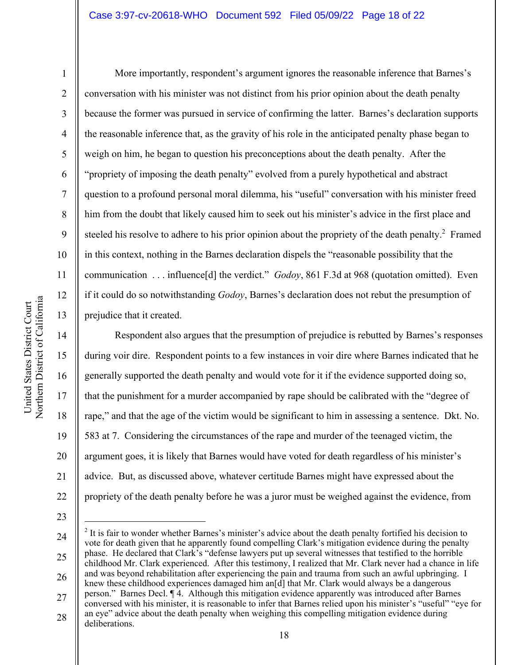Northern District of California United States District Court United States District Court Northern District of Californi 1

2

3

4

5

6

7

8

9

10

11

12

13

14

15

16

17

18

19

20

21

22

More importantly, respondent's argument ignores the reasonable inference that Barnes's conversation with his minister was not distinct from his prior opinion about the death penalty because the former was pursued in service of confirming the latter. Barnes's declaration supports the reasonable inference that, as the gravity of his role in the anticipated penalty phase began to weigh on him, he began to question his preconceptions about the death penalty. After the "propriety of imposing the death penalty" evolved from a purely hypothetical and abstract question to a profound personal moral dilemma, his "useful" conversation with his minister freed him from the doubt that likely caused him to seek out his minister's advice in the first place and steeled his resolve to adhere to his prior opinion about the propriety of the death penalty.<sup>2</sup> Framed in this context, nothing in the Barnes declaration dispels the "reasonable possibility that the communication . . . influence[d] the verdict." *Godoy*, 861 F.3d at 968 (quotation omitted). Even if it could do so notwithstanding *Godoy*, Barnes's declaration does not rebut the presumption of prejudice that it created.

Respondent also argues that the presumption of prejudice is rebutted by Barnes's responses during voir dire. Respondent points to a few instances in voir dire where Barnes indicated that he generally supported the death penalty and would vote for it if the evidence supported doing so, that the punishment for a murder accompanied by rape should be calibrated with the "degree of rape," and that the age of the victim would be significant to him in assessing a sentence. Dkt. No. 583 at 7. Considering the circumstances of the rape and murder of the teenaged victim, the argument goes, it is likely that Barnes would have voted for death regardless of his minister's advice. But, as discussed above, whatever certitude Barnes might have expressed about the propriety of the death penalty before he was a juror must be weighed against the evidence, from

<sup>24</sup>  25 26 27 <sup>2</sup> It is fair to wonder whether Barnes's minister's advice about the death penalty fortified his decision to vote for death given that he apparently found compelling Clark's mitigation evidence during the penalty phase. He declared that Clark's "defense lawyers put up several witnesses that testified to the horrible childhood Mr. Clark experienced. After this testimony, I realized that Mr. Clark never had a chance in life and was beyond rehabilitation after experiencing the pain and trauma from such an awful upbringing. I knew these childhood experiences damaged him an<sup>[d]</sup> that Mr. Clark would always be a dangerous person." Barnes Decl. ¶ 4. Although this mitigation evidence apparently was introduced after Barnes conversed with his minister, it is reasonable to infer that Barnes relied upon his minister's "useful" "eye for

<sup>28</sup>  an eye" advice about the death penalty when weighing this compelling mitigation evidence during deliberations.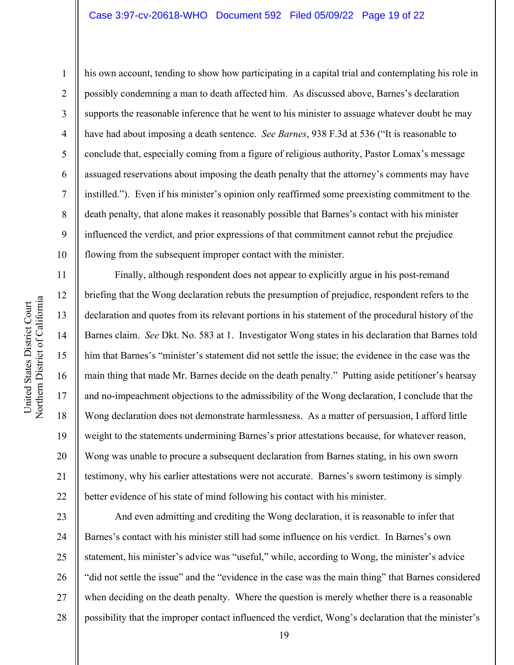his own account, tending to show how participating in a capital trial and contemplating his role in possibly condemning a man to death affected him. As discussed above, Barnes's declaration supports the reasonable inference that he went to his minister to assuage whatever doubt he may have had about imposing a death sentence. *See Barnes*, 938 F.3d at 536 ("It is reasonable to conclude that, especially coming from a figure of religious authority, Pastor Lomax's message assuaged reservations about imposing the death penalty that the attorney's comments may have instilled."). Even if his minister's opinion only reaffirmed some preexisting commitment to the death penalty, that alone makes it reasonably possible that Barnes's contact with his minister influenced the verdict, and prior expressions of that commitment cannot rebut the prejudice flowing from the subsequent improper contact with the minister.

Finally, although respondent does not appear to explicitly argue in his post-remand briefing that the Wong declaration rebuts the presumption of prejudice, respondent refers to the declaration and quotes from its relevant portions in his statement of the procedural history of the Barnes claim. *See* Dkt. No. 583 at 1. Investigator Wong states in his declaration that Barnes told him that Barnes's "minister's statement did not settle the issue; the evidence in the case was the main thing that made Mr. Barnes decide on the death penalty." Putting aside petitioner's hearsay and no-impeachment objections to the admissibility of the Wong declaration, I conclude that the Wong declaration does not demonstrate harmlessness. As a matter of persuasion, I afford little weight to the statements undermining Barnes's prior attestations because, for whatever reason, Wong was unable to procure a subsequent declaration from Barnes stating, in his own sworn testimony, why his earlier attestations were not accurate. Barnes's sworn testimony is simply better evidence of his state of mind following his contact with his minister.

23 24 25 26 27 28 And even admitting and crediting the Wong declaration, it is reasonable to infer that Barnes's contact with his minister still had some influence on his verdict. In Barnes's own statement, his minister's advice was "useful," while, according to Wong, the minister's advice "did not settle the issue" and the "evidence in the case was the main thing" that Barnes considered when deciding on the death penalty. Where the question is merely whether there is a reasonable possibility that the improper contact influenced the verdict, Wong's declaration that the minister's

1

2

3

4

5

6

7

8

9

10

11

12

13

14

15

16

17

18

19

20

21

22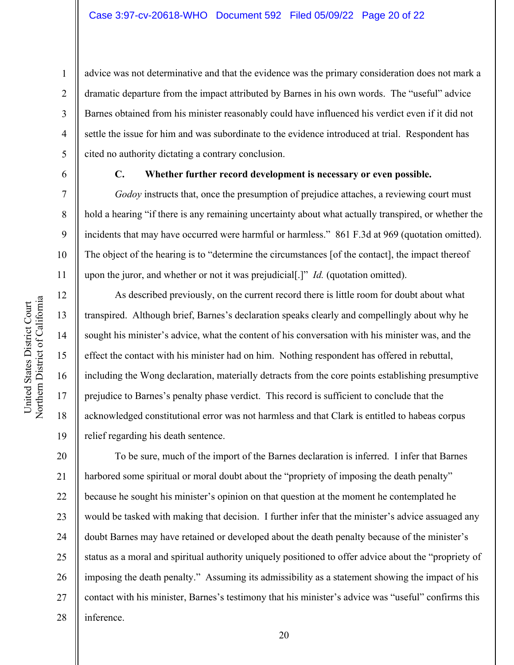advice was not determinative and that the evidence was the primary consideration does not mark a dramatic departure from the impact attributed by Barnes in his own words. The "useful" advice Barnes obtained from his minister reasonably could have influenced his verdict even if it did not settle the issue for him and was subordinate to the evidence introduced at trial. Respondent has cited no authority dictating a contrary conclusion.

6

1

2

3

4

5

7

8

9

10

11

12

13

14

15

16

17

18

19

#### **C. Whether further record development is necessary or even possible.**

*Godoy* instructs that, once the presumption of prejudice attaches, a reviewing court must hold a hearing "if there is any remaining uncertainty about what actually transpired, or whether the incidents that may have occurred were harmful or harmless." 861 F.3d at 969 (quotation omitted). The object of the hearing is to "determine the circumstances [of the contact], the impact thereof upon the juror, and whether or not it was prejudicial[.]" *Id.* (quotation omitted).

As described previously, on the current record there is little room for doubt about what transpired. Although brief, Barnes's declaration speaks clearly and compellingly about why he sought his minister's advice, what the content of his conversation with his minister was, and the effect the contact with his minister had on him. Nothing respondent has offered in rebuttal, including the Wong declaration, materially detracts from the core points establishing presumptive prejudice to Barnes's penalty phase verdict. This record is sufficient to conclude that the acknowledged constitutional error was not harmless and that Clark is entitled to habeas corpus relief regarding his death sentence.

20 21 22 23 24 25 26 27 28 To be sure, much of the import of the Barnes declaration is inferred. I infer that Barnes harbored some spiritual or moral doubt about the "propriety of imposing the death penalty" because he sought his minister's opinion on that question at the moment he contemplated he would be tasked with making that decision. I further infer that the minister's advice assuaged any doubt Barnes may have retained or developed about the death penalty because of the minister's status as a moral and spiritual authority uniquely positioned to offer advice about the "propriety of imposing the death penalty." Assuming its admissibility as a statement showing the impact of his contact with his minister, Barnes's testimony that his minister's advice was "useful" confirms this inference.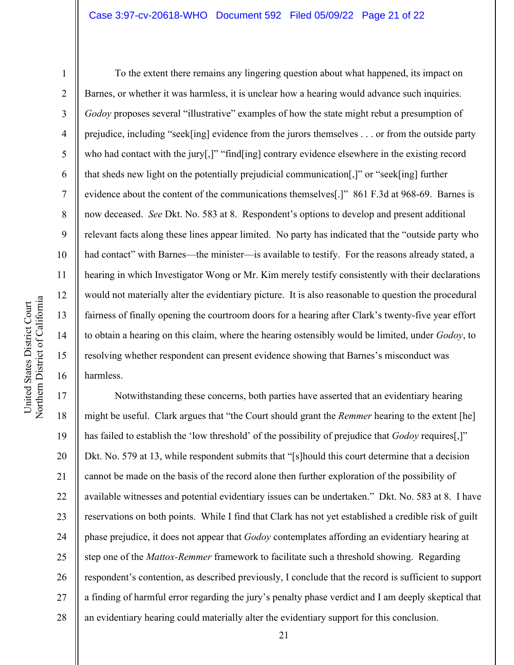1

2

3

4

5

6

7

8

9

10

11

12

13

14

15

United States District Court

United States District Court

16

To the extent there remains any lingering question about what happened, its impact on Barnes, or whether it was harmless, it is unclear how a hearing would advance such inquiries. *Godoy* proposes several "illustrative" examples of how the state might rebut a presumption of prejudice, including "seek[ing] evidence from the jurors themselves . . . or from the outside party who had contact with the jury[,]" "find[ing] contrary evidence elsewhere in the existing record that sheds new light on the potentially prejudicial communication[,]" or "seek[ing] further evidence about the content of the communications themselves[.]" 861 F.3d at 968-69. Barnes is now deceased. *See* Dkt. No. 583 at 8. Respondent's options to develop and present additional relevant facts along these lines appear limited. No party has indicated that the "outside party who had contact" with Barnes—the minister—is available to testify. For the reasons already stated, a hearing in which Investigator Wong or Mr. Kim merely testify consistently with their declarations would not materially alter the evidentiary picture. It is also reasonable to question the procedural fairness of finally opening the courtroom doors for a hearing after Clark's twenty-five year effort to obtain a hearing on this claim, where the hearing ostensibly would be limited, under *Godoy*, to resolving whether respondent can present evidence showing that Barnes's misconduct was harmless.

17 18 19 20 21 22 23 24 25 26 27 28 Notwithstanding these concerns, both parties have asserted that an evidentiary hearing might be useful. Clark argues that "the Court should grant the *Remmer* hearing to the extent [he] has failed to establish the 'low threshold' of the possibility of prejudice that *Godoy* requires[,]" Dkt. No. 579 at 13, while respondent submits that "[s]hould this court determine that a decision cannot be made on the basis of the record alone then further exploration of the possibility of available witnesses and potential evidentiary issues can be undertaken." Dkt. No. 583 at 8. I have reservations on both points. While I find that Clark has not yet established a credible risk of guilt phase prejudice, it does not appear that *Godoy* contemplates affording an evidentiary hearing at step one of the *Mattox-Remmer* framework to facilitate such a threshold showing. Regarding respondent's contention, as described previously, I conclude that the record is sufficient to support a finding of harmful error regarding the jury's penalty phase verdict and I am deeply skeptical that an evidentiary hearing could materially alter the evidentiary support for this conclusion.